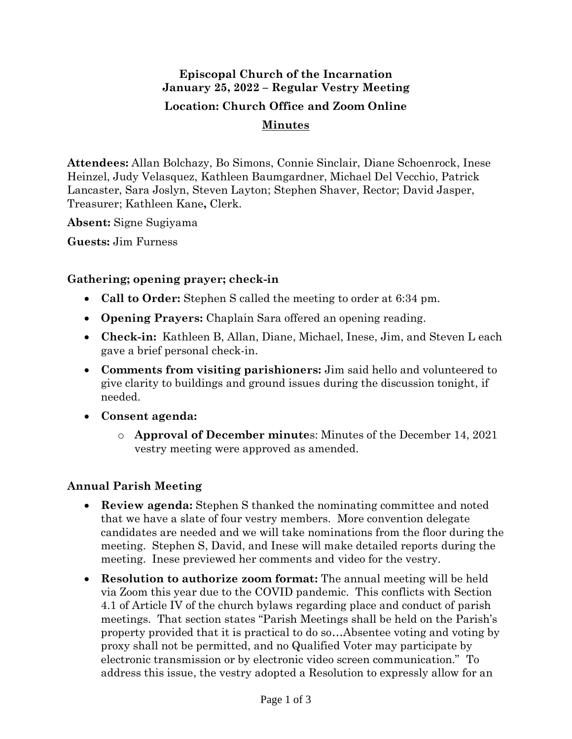# **Episcopal Church of the Incarnation January 25, 2022 – Regular Vestry Meeting Location: Church Office and Zoom Online Minutes**

**Attendees:** Allan Bolchazy, Bo Simons, Connie Sinclair, Diane Schoenrock, Inese Heinzel, Judy Velasquez, Kathleen Baumgardner, Michael Del Vecchio, Patrick Lancaster, Sara Joslyn, Steven Layton; Stephen Shaver, Rector; David Jasper, Treasurer; Kathleen Kane**,** Clerk.

**Absent:** Signe Sugiyama

**Guests:** Jim Furness

### **Gathering; opening prayer; check-in**

- **Call to Order:** Stephen S called the meeting to order at 6:34 pm.
- **Opening Prayers:** Chaplain Sara offered an opening reading.
- **Check-in:** Kathleen B, Allan, Diane, Michael, Inese, Jim, and Steven L each gave a brief personal check-in.
- **Comments from visiting parishioners:** Jim said hello and volunteered to give clarity to buildings and ground issues during the discussion tonight, if needed.
- **Consent agenda:**
	- o **Approval of December minute**s: Minutes of the December 14, 2021 vestry meeting were approved as amended.

# **Annual Parish Meeting**

- **Review agenda:** Stephen S thanked the nominating committee and noted that we have a slate of four vestry members. More convention delegate candidates are needed and we will take nominations from the floor during the meeting. Stephen S, David, and Inese will make detailed reports during the meeting. Inese previewed her comments and video for the vestry.
- **Resolution to authorize zoom format:** The annual meeting will be held via Zoom this year due to the COVID pandemic. This conflicts with Section 4.1 of Article IV of the church bylaws regarding place and conduct of parish meetings. That section states "Parish Meetings shall be held on the Parish's property provided that it is practical to do so…Absentee voting and voting by proxy shall not be permitted, and no Qualified Voter may participate by electronic transmission or by electronic video screen communication." To address this issue, the vestry adopted a Resolution to expressly allow for an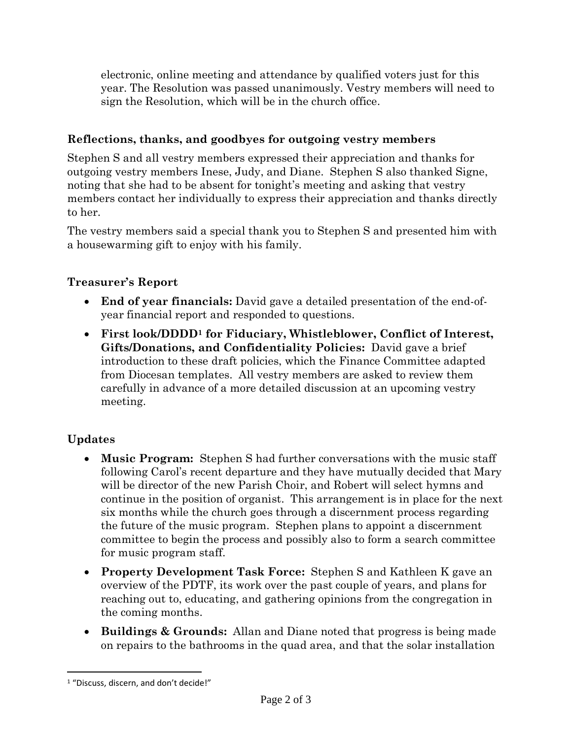electronic, online meeting and attendance by qualified voters just for this year. The Resolution was passed unanimously. Vestry members will need to sign the Resolution, which will be in the church office.

### **Reflections, thanks, and goodbyes for outgoing vestry members**

Stephen S and all vestry members expressed their appreciation and thanks for outgoing vestry members Inese, Judy, and Diane. Stephen S also thanked Signe, noting that she had to be absent for tonight's meeting and asking that vestry members contact her individually to express their appreciation and thanks directly to her.

The vestry members said a special thank you to Stephen S and presented him with a housewarming gift to enjoy with his family.

# **Treasurer's Report**

- **End of year financials:** David gave a detailed presentation of the end-ofyear financial report and responded to questions.
- **First look/DDDD<sup>1</sup> for Fiduciary, Whistleblower, Conflict of Interest, Gifts/Donations, and Confidentiality Policies:** David gave a brief introduction to these draft policies, which the Finance Committee adapted from Diocesan templates. All vestry members are asked to review them carefully in advance of a more detailed discussion at an upcoming vestry meeting.

# **Updates**

- **Music Program:** Stephen S had further conversations with the music staff following Carol's recent departure and they have mutually decided that Mary will be director of the new Parish Choir, and Robert will select hymns and continue in the position of organist. This arrangement is in place for the next six months while the church goes through a discernment process regarding the future of the music program. Stephen plans to appoint a discernment committee to begin the process and possibly also to form a search committee for music program staff.
- **Property Development Task Force:** Stephen S and Kathleen K gave an overview of the PDTF, its work over the past couple of years, and plans for reaching out to, educating, and gathering opinions from the congregation in the coming months.
- **Buildings & Grounds:** Allan and Diane noted that progress is being made on repairs to the bathrooms in the quad area, and that the solar installation

<sup>1</sup> "Discuss, discern, and don't decide!"